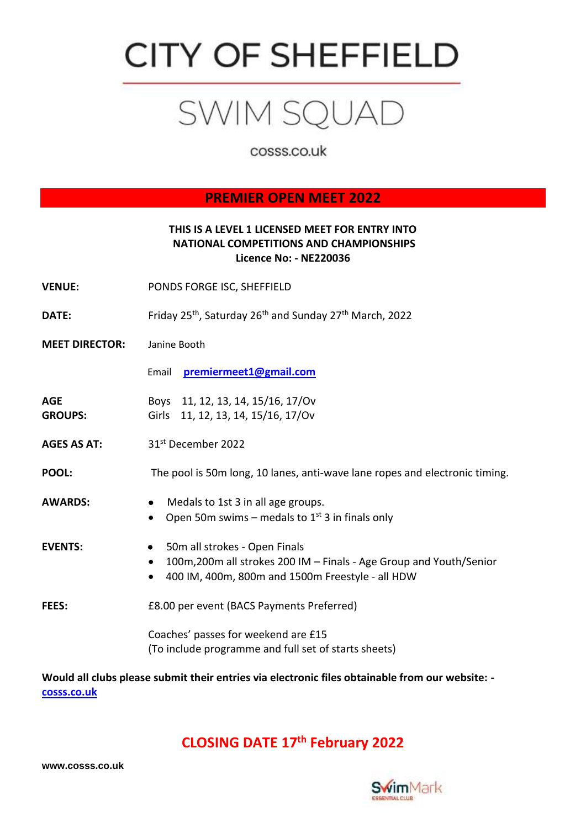# **CITY OF SHEFFIELD**

## SWIM SQUAD

cosss.co.uk

## **PREMIER OPEN MEET 2022**

#### **THIS IS A LEVEL 1 LICENSED MEET FOR ENTRY INTO NATIONAL COMPETITIONS AND CHAMPIONSHIPS Licence No: - NE220036**

- **VENUE:** PONDS FORGE ISC, SHEFFIELD
- **DATE:** Friday 25<sup>th</sup>, Saturday 26<sup>th</sup> and Sunday 27<sup>th</sup> March, 2022
- **MEET DIRECTOR:** Janine Booth

Email **[premiermeet1@gmail.com](mailto:premiermeet1@gmail.com)**

**AGE** Boys 11, 12, 13, 14, 15/16, 17/Ov **GROUPS:** Girls 11, 12, 13, 14, 15/16, 17/Ov

**AGES AS AT:** 31st December 2022

**POOL:** The pool is 50m long, 10 lanes, anti-wave lane ropes and electronic timing.

- 
- **AWARDS:** •Medals to 1st 3 in all age groups.
	- Open 50m swims medals to  $1<sup>st</sup>$  3 in finals only
- **EVENTS:** •50m all strokes Open Finals
	- 100m,200m all strokes 200 IM Finals Age Group and Youth/Senior
	- 400 IM, 400m, 800m and 1500m Freestyle all HDW
- **FEES:** £8.00 per event (BACS Payments Preferred)
	- Coaches' passes for weekend are £15 (To include programme and full set of starts sheets)

**Would all clubs please submit their entries via electronic files obtainable from our website: [cosss.co.uk](https://www.cosss.co.uk/)**

## **CLOSING DATE 17 th February 2022**



**www.cosss.co.uk**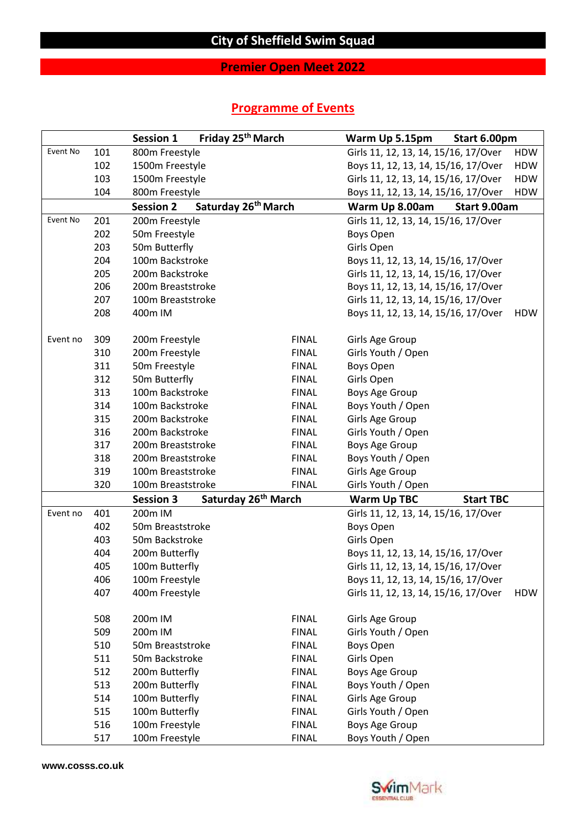## **Premier Open Meet 2022**

## **Programme of Events**

|          |     | <b>Session 1</b>  | Friday 25 <sup>th</sup> March   | Warm Up 5.15pm<br>Start 6.00pm       |                  |            |  |  |  |
|----------|-----|-------------------|---------------------------------|--------------------------------------|------------------|------------|--|--|--|
| Event No | 101 | 800m Freestyle    |                                 | Girls 11, 12, 13, 14, 15/16, 17/Over |                  | <b>HDW</b> |  |  |  |
|          | 102 | 1500m Freestyle   |                                 | Boys 11, 12, 13, 14, 15/16, 17/Over  |                  | <b>HDW</b> |  |  |  |
|          | 103 | 1500m Freestyle   |                                 | Girls 11, 12, 13, 14, 15/16, 17/Over |                  | <b>HDW</b> |  |  |  |
|          | 104 | 800m Freestyle    |                                 | Boys 11, 12, 13, 14, 15/16, 17/Over  |                  | <b>HDW</b> |  |  |  |
|          |     | <b>Session 2</b>  | Saturday 26 <sup>th</sup> March | Warm Up 8.00am                       | Start 9.00am     |            |  |  |  |
| Event No | 201 | 200m Freestyle    |                                 | Girls 11, 12, 13, 14, 15/16, 17/Over |                  |            |  |  |  |
|          | 202 | 50m Freestyle     |                                 | Boys Open                            |                  |            |  |  |  |
|          | 203 | 50m Butterfly     |                                 | Girls Open                           |                  |            |  |  |  |
|          | 204 | 100m Backstroke   |                                 | Boys 11, 12, 13, 14, 15/16, 17/Over  |                  |            |  |  |  |
|          | 205 | 200m Backstroke   |                                 | Girls 11, 12, 13, 14, 15/16, 17/Over |                  |            |  |  |  |
|          | 206 | 200m Breaststroke |                                 | Boys 11, 12, 13, 14, 15/16, 17/Over  |                  |            |  |  |  |
|          | 207 | 100m Breaststroke |                                 | Girls 11, 12, 13, 14, 15/16, 17/Over |                  |            |  |  |  |
|          | 208 | 400m IM           |                                 | Boys 11, 12, 13, 14, 15/16, 17/Over  |                  | <b>HDW</b> |  |  |  |
| Event no | 309 | 200m Freestyle    | <b>FINAL</b>                    | Girls Age Group                      |                  |            |  |  |  |
|          | 310 | 200m Freestyle    | <b>FINAL</b>                    | Girls Youth / Open                   |                  |            |  |  |  |
|          | 311 | 50m Freestyle     | <b>FINAL</b>                    | Boys Open                            |                  |            |  |  |  |
|          | 312 | 50m Butterfly     | <b>FINAL</b>                    | Girls Open                           |                  |            |  |  |  |
|          | 313 | 100m Backstroke   | <b>FINAL</b>                    | Boys Age Group                       |                  |            |  |  |  |
|          | 314 | 100m Backstroke   | <b>FINAL</b>                    | Boys Youth / Open                    |                  |            |  |  |  |
|          | 315 | 200m Backstroke   | <b>FINAL</b>                    | Girls Age Group                      |                  |            |  |  |  |
|          | 316 | 200m Backstroke   | <b>FINAL</b>                    | Girls Youth / Open                   |                  |            |  |  |  |
|          | 317 | 200m Breaststroke | <b>FINAL</b>                    | Boys Age Group                       |                  |            |  |  |  |
|          | 318 | 200m Breaststroke | <b>FINAL</b>                    | Boys Youth / Open                    |                  |            |  |  |  |
|          | 319 | 100m Breaststroke | <b>FINAL</b>                    | Girls Age Group                      |                  |            |  |  |  |
|          | 320 | 100m Breaststroke | <b>FINAL</b>                    | Girls Youth / Open                   |                  |            |  |  |  |
|          |     | <b>Session 3</b>  | Saturday 26 <sup>th</sup> March | <b>Warm Up TBC</b>                   | <b>Start TBC</b> |            |  |  |  |
| Event no | 401 | 200m IM           |                                 | Girls 11, 12, 13, 14, 15/16, 17/Over |                  |            |  |  |  |
|          | 402 | 50m Breaststroke  |                                 | Boys Open                            |                  |            |  |  |  |
|          | 403 | 50m Backstroke    |                                 | Girls Open                           |                  |            |  |  |  |
|          | 404 | 200m Butterfly    |                                 | Boys 11, 12, 13, 14, 15/16, 17/Over  |                  |            |  |  |  |
|          | 405 | 100m Butterfly    |                                 | Girls 11, 12, 13, 14, 15/16, 17/Over |                  |            |  |  |  |
|          | 406 | 100m Freestyle    |                                 | Boys 11, 12, 13, 14, 15/16, 17/Over  |                  |            |  |  |  |
|          | 407 | 400m Freestyle    |                                 | Girls 11, 12, 13, 14, 15/16, 17/Over |                  | <b>HDW</b> |  |  |  |
|          | 508 | 200m IM           | <b>FINAL</b>                    | Girls Age Group                      |                  |            |  |  |  |
|          | 509 | 200m IM           | <b>FINAL</b>                    | Girls Youth / Open                   |                  |            |  |  |  |
|          | 510 | 50m Breaststroke  | <b>FINAL</b>                    | <b>Boys Open</b>                     |                  |            |  |  |  |
|          | 511 | 50m Backstroke    | <b>FINAL</b>                    | Girls Open                           |                  |            |  |  |  |
|          | 512 | 200m Butterfly    | <b>FINAL</b>                    | Boys Age Group                       |                  |            |  |  |  |
|          | 513 | 200m Butterfly    | <b>FINAL</b>                    | Boys Youth / Open                    |                  |            |  |  |  |
|          | 514 | 100m Butterfly    | <b>FINAL</b>                    | Girls Age Group                      |                  |            |  |  |  |
|          | 515 | 100m Butterfly    | <b>FINAL</b>                    | Girls Youth / Open                   |                  |            |  |  |  |
|          | 516 | 100m Freestyle    | <b>FINAL</b>                    | <b>Boys Age Group</b>                |                  |            |  |  |  |
|          | 517 | 100m Freestyle    | <b>FINAL</b>                    | Boys Youth / Open                    |                  |            |  |  |  |

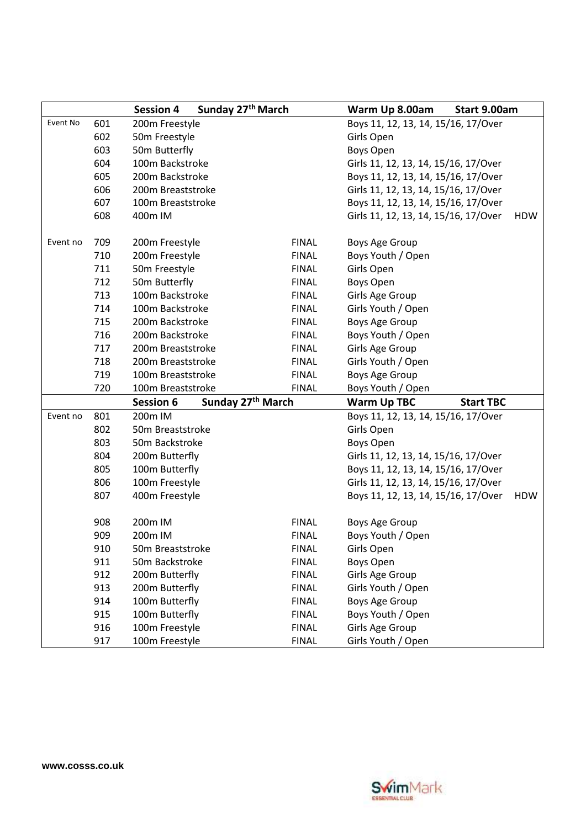|          |     | Sunday 27 <sup>th</sup> March<br><b>Session 4</b> |              | Start 9.00am<br>Warm Up 8.00am         |            |  |  |  |  |
|----------|-----|---------------------------------------------------|--------------|----------------------------------------|------------|--|--|--|--|
| Event No | 601 | 200m Freestyle                                    |              | Boys 11, 12, 13, 14, 15/16, 17/Over    |            |  |  |  |  |
|          | 602 | 50m Freestyle                                     |              | Girls Open                             |            |  |  |  |  |
|          | 603 | 50m Butterfly                                     |              | <b>Boys Open</b>                       |            |  |  |  |  |
|          | 604 | 100m Backstroke                                   |              | Girls 11, 12, 13, 14, 15/16, 17/Over   |            |  |  |  |  |
|          | 605 | 200m Backstroke                                   |              | Boys 11, 12, 13, 14, 15/16, 17/Over    |            |  |  |  |  |
|          | 606 | 200m Breaststroke                                 |              | Girls 11, 12, 13, 14, 15/16, 17/Over   |            |  |  |  |  |
|          | 607 | 100m Breaststroke                                 |              | Boys 11, 12, 13, 14, 15/16, 17/Over    |            |  |  |  |  |
|          | 608 | 400m IM                                           |              | Girls 11, 12, 13, 14, 15/16, 17/Over   | <b>HDW</b> |  |  |  |  |
|          |     |                                                   |              |                                        |            |  |  |  |  |
| Event no | 709 | 200m Freestyle                                    | <b>FINAL</b> | Boys Age Group                         |            |  |  |  |  |
|          | 710 | 200m Freestyle                                    | <b>FINAL</b> | Boys Youth / Open                      |            |  |  |  |  |
|          | 711 | 50m Freestyle                                     | <b>FINAL</b> | Girls Open                             |            |  |  |  |  |
|          | 712 | 50m Butterfly                                     | <b>FINAL</b> | <b>Boys Open</b>                       |            |  |  |  |  |
|          | 713 | 100m Backstroke                                   | <b>FINAL</b> | Girls Age Group                        |            |  |  |  |  |
|          | 714 | 100m Backstroke                                   | <b>FINAL</b> | Girls Youth / Open                     |            |  |  |  |  |
|          | 715 | 200m Backstroke                                   | <b>FINAL</b> | Boys Age Group                         |            |  |  |  |  |
|          | 716 | 200m Backstroke                                   | <b>FINAL</b> | Boys Youth / Open                      |            |  |  |  |  |
|          | 717 | 200m Breaststroke                                 | <b>FINAL</b> | Girls Age Group                        |            |  |  |  |  |
|          | 718 | 200m Breaststroke                                 | <b>FINAL</b> | Girls Youth / Open                     |            |  |  |  |  |
|          | 719 | 100m Breaststroke                                 | <b>FINAL</b> | <b>Boys Age Group</b>                  |            |  |  |  |  |
|          | 720 | 100m Breaststroke                                 | <b>FINAL</b> | Boys Youth / Open                      |            |  |  |  |  |
|          |     | Sunday 27th March<br><b>Session 6</b>             |              | <b>Start TBC</b><br><b>Warm Up TBC</b> |            |  |  |  |  |
| Event no | 801 | 200m IM                                           |              | Boys 11, 12, 13, 14, 15/16, 17/Over    |            |  |  |  |  |
|          | 802 | 50m Breaststroke                                  |              | Girls Open                             |            |  |  |  |  |
|          | 803 | 50m Backstroke                                    |              | <b>Boys Open</b>                       |            |  |  |  |  |
|          | 804 | 200m Butterfly                                    |              | Girls 11, 12, 13, 14, 15/16, 17/Over   |            |  |  |  |  |
|          | 805 | 100m Butterfly                                    |              | Boys 11, 12, 13, 14, 15/16, 17/Over    |            |  |  |  |  |
|          | 806 | 100m Freestyle                                    |              | Girls 11, 12, 13, 14, 15/16, 17/Over   |            |  |  |  |  |
|          | 807 | 400m Freestyle                                    |              | Boys 11, 12, 13, 14, 15/16, 17/Over    | <b>HDW</b> |  |  |  |  |
|          | 908 | 200m IM                                           | <b>FINAL</b> | Boys Age Group                         |            |  |  |  |  |
|          | 909 | 200m IM                                           | <b>FINAL</b> | Boys Youth / Open                      |            |  |  |  |  |
|          | 910 | 50m Breaststroke                                  | <b>FINAL</b> | Girls Open                             |            |  |  |  |  |
|          | 911 | 50m Backstroke                                    | <b>FINAL</b> | Boys Open                              |            |  |  |  |  |
|          | 912 | 200m Butterfly                                    | <b>FINAL</b> | Girls Age Group                        |            |  |  |  |  |
|          | 913 | 200m Butterfly                                    | <b>FINAL</b> | Girls Youth / Open                     |            |  |  |  |  |
|          | 914 | 100m Butterfly                                    | <b>FINAL</b> | <b>Boys Age Group</b>                  |            |  |  |  |  |
|          | 915 | 100m Butterfly                                    | <b>FINAL</b> | Boys Youth / Open                      |            |  |  |  |  |
|          | 916 | 100m Freestyle                                    | <b>FINAL</b> | Girls Age Group                        |            |  |  |  |  |
|          | 917 | 100m Freestyle                                    | <b>FINAL</b> | Girls Youth / Open                     |            |  |  |  |  |

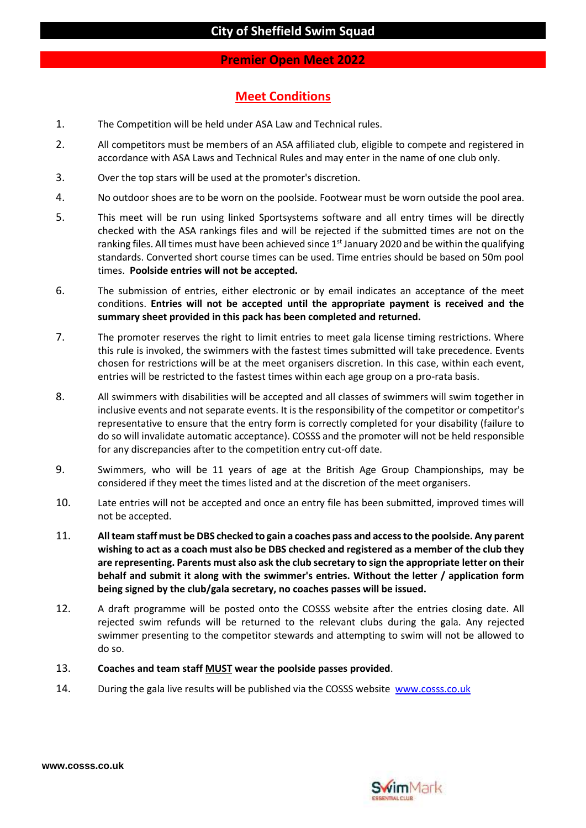#### **Premier Open Meet 2022**

## **Meet Conditions**

- 1. The Competition will be held under ASA Law and Technical rules.
- 2. All competitors must be members of an ASA affiliated club, eligible to compete and registered in accordance with ASA Laws and Technical Rules and may enter in the name of one club only.
- 3. Over the top stars will be used at the promoter's discretion.
- 4. No outdoor shoes are to be worn on the poolside. Footwear must be worn outside the pool area.
- 5. This meet will be run using linked Sportsystems software and all entry times will be directly checked with the ASA rankings files and will be rejected if the submitted times are not on the ranking files. All times must have been achieved since 1<sup>st</sup> January 2020 and be within the qualifying standards. Converted short course times can be used. Time entries should be based on 50m pool times. **Poolside entries will not be accepted.**
- 6. The submission of entries, either electronic or by email indicates an acceptance of the meet conditions. **Entries will not be accepted until the appropriate payment is received and the summary sheet provided in this pack has been completed and returned.**
- 7. The promoter reserves the right to limit entries to meet gala license timing restrictions. Where this rule is invoked, the swimmers with the fastest times submitted will take precedence. Events chosen for restrictions will be at the meet organisers discretion. In this case, within each event, entries will be restricted to the fastest times within each age group on a pro-rata basis.
- 8. All swimmers with disabilities will be accepted and all classes of swimmers will swim together in inclusive events and not separate events. It is the responsibility of the competitor or competitor's representative to ensure that the entry form is correctly completed for your disability (failure to do so will invalidate automatic acceptance). COSSS and the promoter will not be held responsible for any discrepancies after to the competition entry cut-off date.
- 9. Swimmers, who will be 11 years of age at the British Age Group Championships, may be considered if they meet the times listed and at the discretion of the meet organisers.
- 10. Late entries will not be accepted and once an entry file has been submitted, improved times will not be accepted.
- 11. **All team staff must be DBS checked to gain a coaches pass and access to the poolside. Any parent wishing to act as a coach must also be DBS checked and registered as a member of the club they are representing. Parents must also ask the club secretary to sign the appropriate letter on their behalf and submit it along with the swimmer's entries. Without the letter / application form being signed by the club/gala secretary, no coaches passes will be issued.**
- 12. A draft programme will be posted onto the COSSS website after the entries closing date. All rejected swim refunds will be returned to the relevant clubs during the gala. Any rejected swimmer presenting to the competitor stewards and attempting to swim will not be allowed to do so.
- 13. **Coaches and team staff MUST wear the poolside passes provided**.
- 14. During the gala live results will be published via the COSSS website [www.cosss.co.uk](http://www.cosss.co.uk/)



**www.cosss.co.uk**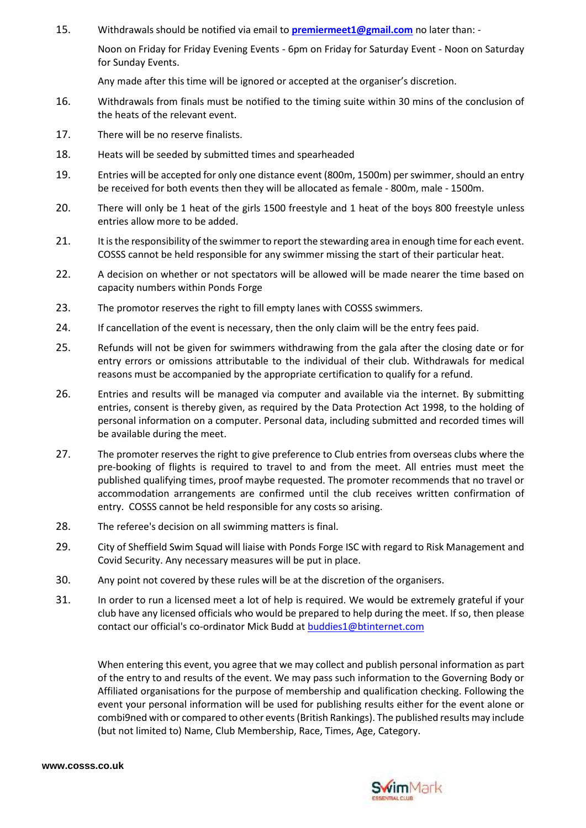15. Withdrawals should be notified via email to **[premiermeet1@gmail.com](mailto:premiermeet1@gmail.com)** no later than: -

Noon on Friday for Friday Evening Events - 6pm on Friday for Saturday Event - Noon on Saturday for Sunday Events.

Any made after this time will be ignored or accepted at the organiser's discretion.

- 16. Withdrawals from finals must be notified to the timing suite within 30 mins of the conclusion of the heats of the relevant event.
- 17. There will be no reserve finalists.
- 18. Heats will be seeded by submitted times and spearheaded
- 19. Entries will be accepted for only one distance event (800m, 1500m) per swimmer, should an entry be received for both events then they will be allocated as female - 800m, male - 1500m.
- 20. There will only be 1 heat of the girls 1500 freestyle and 1 heat of the boys 800 freestyle unless entries allow more to be added.
- 21. It is the responsibility of the swimmer to report the stewarding area in enough time for each event. COSSS cannot be held responsible for any swimmer missing the start of their particular heat.
- 22. A decision on whether or not spectators will be allowed will be made nearer the time based on capacity numbers within Ponds Forge
- 23. The promotor reserves the right to fill empty lanes with COSSS swimmers.
- 24. If cancellation of the event is necessary, then the only claim will be the entry fees paid.
- 25. Refunds will not be given for swimmers withdrawing from the gala after the closing date or for entry errors or omissions attributable to the individual of their club. Withdrawals for medical reasons must be accompanied by the appropriate certification to qualify for a refund.
- 26. Entries and results will be managed via computer and available via the internet. By submitting entries, consent is thereby given, as required by the Data Protection Act 1998, to the holding of personal information on a computer. Personal data, including submitted and recorded times will be available during the meet.
- 27. The promoter reserves the right to give preference to Club entries from overseas clubs where the pre-booking of flights is required to travel to and from the meet. All entries must meet the published qualifying times, proof maybe requested. The promoter recommends that no travel or accommodation arrangements are confirmed until the club receives written confirmation of entry. COSSS cannot be held responsible for any costs so arising.
- 28. The referee's decision on all swimming matters is final.
- 29. City of Sheffield Swim Squad will liaise with Ponds Forge ISC with regard to Risk Management and Covid Security. Any necessary measures will be put in place.
- 30. Any point not covered by these rules will be at the discretion of the organisers.
- 31. In order to run a licensed meet a lot of help is required. We would be extremely grateful if your club have any licensed officials who would be prepared to help during the meet. If so, then please contact our official's co-ordinator Mick Budd a[t buddies1@btinternet.com](mailto:buddies1@btinternet.com)

When entering this event, you agree that we may collect and publish personal information as part of the entry to and results of the event. We may pass such information to the Governing Body or Affiliated organisations for the purpose of membership and qualification checking. Following the event your personal information will be used for publishing results either for the event alone or combi9ned with or compared to other events (British Rankings). The published results may include (but not limited to) Name, Club Membership, Race, Times, Age, Category.